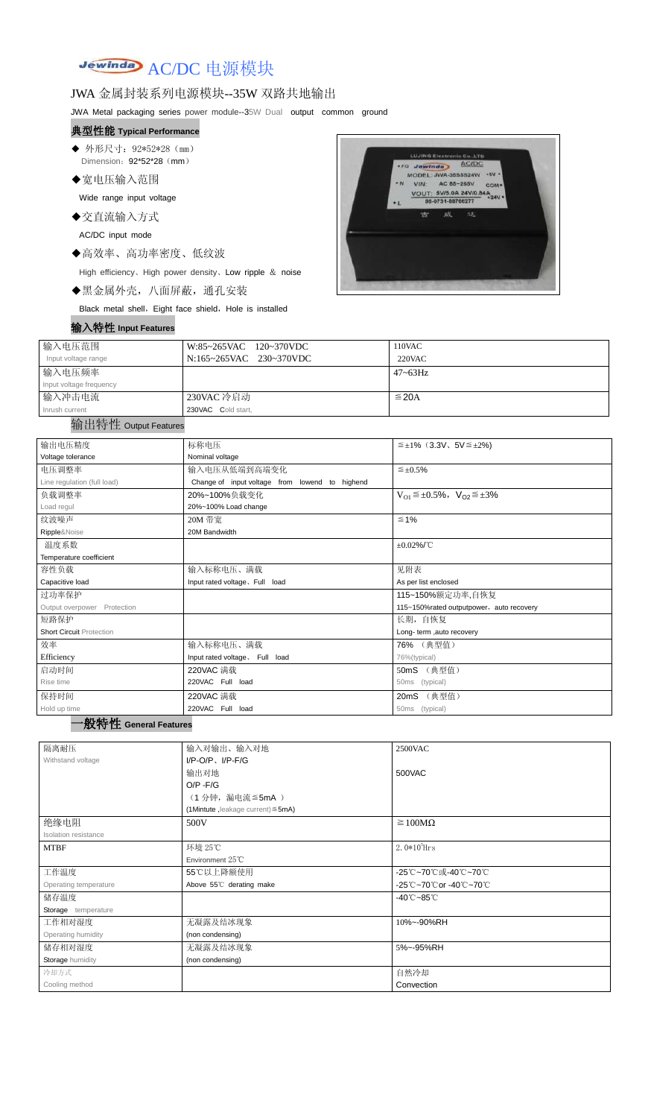Jewinday AC/DC 电源模块

# JWA 金属封装系列电源模块--35W 双路共地输出

JWA Metal packaging series power module--35W Dual output common ground

- ◆ 外形尺寸: 92\*52\*28 (mm) Dimension: 92\*52\*28 (mm)
- ◆宽电压输入范围

# 典型性能 **Typical Performance**

Wide range input voltage

◆交直流输入方式

AC/DC input mode

◆高效率、高功率密度、低纹波

High efficiency、High power density、Low ripple & noise

◆黑金属外壳,八面屏蔽,通孔安装

Black metal shell, Eight face shield, Hole is installed



| 输入特性 Input Features |  |
|---------------------|--|
|---------------------|--|

| 输入电压范围                  | W:85~265VAC 120~370VDC  | 110VAC       |
|-------------------------|-------------------------|--------------|
| Input voltage range     | N:165~265VAC 230~370VDC | 220VAC       |
| 输入电压频率                  |                         | $47 - 63$ Hz |
| Input voltage frequency |                         |              |
| 输入冲击电流                  | 230VAC 冷启动              | $\leq$ 20A   |
| Inrush current          | 230VAC Cold start,      |              |

#### 输出特性 Output Features

### 一般特性 **General Features**

| 输出电压精度                          | 标称电压                                           | $\leq \pm 1\%$ (3.3V, 5V $\leq \pm 2\%$ )       |  |  |
|---------------------------------|------------------------------------------------|-------------------------------------------------|--|--|
| Voltage tolerance               | Nominal voltage                                |                                                 |  |  |
| 电压调整率                           | 输入电压从低端到高端变化                                   | $\leq \pm 0.5\%$                                |  |  |
| Line regulation (full load)     | Change of input voltage from lowend to highend |                                                 |  |  |
| 负载调整率                           | 20%~100%负载变化                                   | $V_{O1} \leq \pm 0.5\%$ , $V_{O2} \leq \pm 3\%$ |  |  |
| Load regul                      | 20%~100% Load change                           |                                                 |  |  |
| 纹波噪声                            | 20M 带宽                                         | $\leq 1\%$                                      |  |  |
| Ripple&Noise                    | 20M Bandwidth                                  |                                                 |  |  |
| 温度系数                            |                                                | $\pm 0.02\%$ /°C                                |  |  |
| Temperature coefficient         |                                                |                                                 |  |  |
| 容性负载                            | 输入标称电压、满载                                      | 见附表                                             |  |  |
| Capacitive load                 | Input rated voltage, Full load                 | As per list enclosed                            |  |  |
| 过功率保护                           |                                                | 115~150%额定功率,自恢复                                |  |  |
| Output overpower Protection     |                                                | 115~150%rated outputpower, auto recovery        |  |  |
| 短路保护                            |                                                | 长期, 自恢复                                         |  |  |
| <b>Short Circuit Protection</b> |                                                | Long- term ,auto recovery                       |  |  |
| 效率                              | 输入标称电压、满载                                      | 76% (典型值)                                       |  |  |
| Efficiency                      | Input rated voltage. Full load                 | 76%(typical)                                    |  |  |
| 启动时间                            | 220VAC 满载                                      | 50mS (典型值)                                      |  |  |
| Rise time                       | 220VAC Full load                               | 50ms (typical)                                  |  |  |
| 保持时间                            | 220VAC 满载                                      | (典型值)<br>20 <sub>m</sub> S                      |  |  |
| Hold up time                    | 220VAC Full load                               | 50ms (typical)                                  |  |  |

| 隔离耐压                  | 输入对输出、输入对地                              | 2500VAC                         |
|-----------------------|-----------------------------------------|---------------------------------|
| Withstand voltage     | $I/P-O/P$ , $I/P-F/G$                   |                                 |
|                       | 输出对地                                    | 500VAC                          |
|                       | $O/P - F/G$                             |                                 |
|                       | (1分钟,漏电流 ≦ 5mA)                         |                                 |
|                       | (1Mintute, leakage current) $\leq$ 5mA) |                                 |
| 绝缘电阻                  | 500V                                    | $\geq 100M\Omega$               |
| Isolation resistance  |                                         |                                 |
| <b>MTBF</b>           | 环境 25℃                                  | $2.0*105$ Hrs                   |
|                       | Environment 25°C                        |                                 |
| 工作温度                  | 55℃以上降额使用                               | -25℃~70℃或-40℃~70℃               |
| Operating temperature | Above 55°C derating make                | -25℃~70℃or -40℃~70℃             |
| 储存温度                  |                                         | $-40^{\circ}$ C $-85^{\circ}$ C |
| Storage temperature   |                                         |                                 |
| 工作相对湿度                | 无凝露及结冰现象                                | 10%~-90%RH                      |
| Operating humidity    | (non condensing)                        |                                 |
| 储存相对湿度                | 无凝露及结冰现象                                | 5%~-95%RH                       |
| Storage humidity      | (non condensing)                        |                                 |
| 冷却方式                  |                                         | 自然冷却                            |
| Cooling method        |                                         | Convection                      |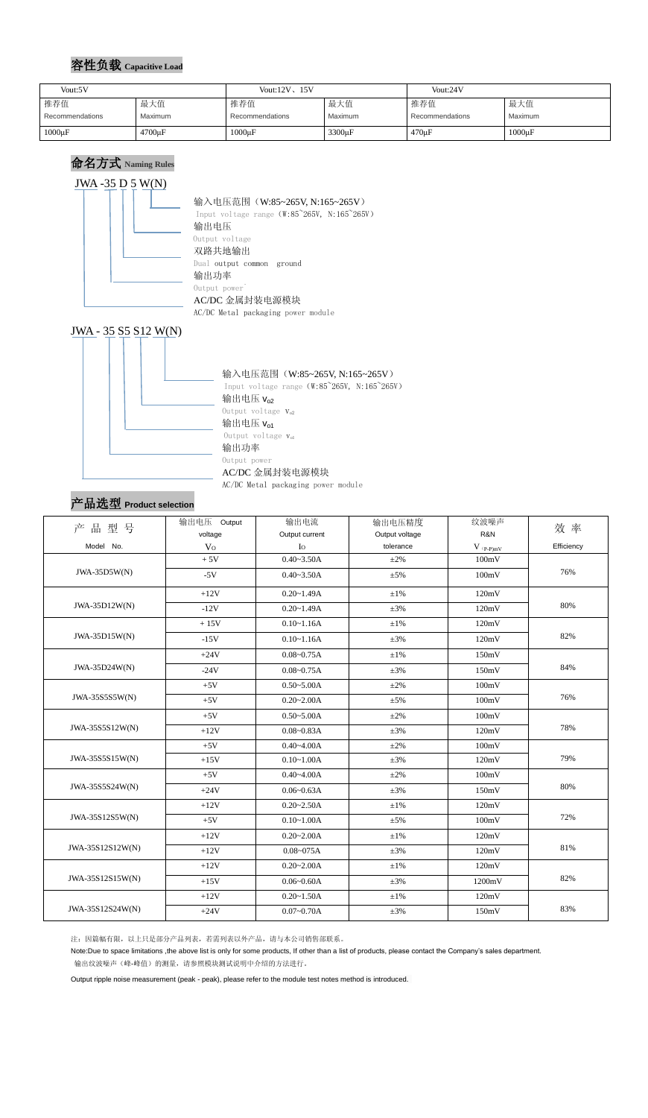### 容性负载 **Capacitive Load**

# 命名方式 **Naming Rules**



AC/DC Metal packaging power module



### 产品选型 **Product selection**

| 产品型号             | 输出电压 Output    | 输出电流           | 输出电压精度             | 纹波噪声           | 效 率        |  |
|------------------|----------------|----------------|--------------------|----------------|------------|--|
|                  | voltage        | Output current | Output voltage     | R&N            |            |  |
| Model No.        | V <sub>O</sub> | $\rm Io$       | tolerance          | $V$ (p-p) $mV$ | Efficiency |  |
|                  | $+5V$          | $0.40 - 3.50A$ | $\pm 2\%$          | 100mV          |            |  |
| JWA-35D5W(N)     | $-5V$          | $0.40 - 3.50A$ | $\pm 5\%$          | 100mV          | 76%        |  |
|                  | $+12V$         | $0.20 - 1.49A$ | $\pm 1\%$<br>120mV |                |            |  |
| JWA-35D12W(N)    | $-12V$         | $0.20 - 1.49A$ | $\pm 3\%$          | 120mV          | 80%        |  |
|                  | $+15V$         | $0.10 - 1.16A$ | $\pm 1\%$          | 120mV          |            |  |
| JWA-35D15W(N)    | $-15V$         | $0.10 - 1.16A$ | $\pm 3\%$          | 120mV          | 82%        |  |
|                  | $+24V$         | $0.08 - 0.75A$ | $±1\%$             | 150mV          |            |  |
| JWA-35D24W(N)    | $-24V$         | $0.08 - 0.75A$ | $\pm 3\%$          | 150mV          | 84%        |  |
|                  | $+5V$          | $0.50 - 5.00A$ | $\pm 2\%$          | 100mV          |            |  |
| JWA-35S555W(N)   | $+5V$          |                | $\pm 5\%$          | 100mV          | 76%        |  |
|                  | $+5V$          | $0.50 - 5.00A$ | $\pm 2\%$          | 100mV          |            |  |
| JWA-35S5S12W(N)  | $+12V$         | $0.08 - 0.83A$ | $\pm 3\%$          | 120mV          | 78%        |  |
|                  | $+5V$          | $0.40 - 4.00A$ | $\pm 2\%$          | 100mV          |            |  |
| JWA-35S5S15W(N)  | $+15V$         | $0.10 - 1.00A$ | $\pm 3\%$          | 120mV          | 79%        |  |
|                  | $+5V$          | $0.40 - 4.00A$ | $\pm 2\%$          | 100mV          |            |  |
| JWA-35S5S24W(N)  | $+24V$         | $0.06 - 0.63A$ | $\pm 3\%$          | 150mV          | 80%        |  |
|                  | $+12V$         | $0.20 - 2.50A$ | $\pm 1\%$          | 120mV          |            |  |
| JWA-35S12S5W(N)  | $+5V$          | $0.10 - 1.00A$ | $\pm$ 5%           | 100mV          | 72%        |  |
|                  | $+12V$         | $0.20 - 2.00A$ | $\pm1\%$           | 120mV          |            |  |
| JWA-35S12S12W(N) | $+12V$         | $0.08 - 075A$  | $\pm 3\%$          | 120mV          | 81%        |  |
|                  | $+12V$         | $0.20 - 2.00A$ | $±1\%$             | 120mV          |            |  |
| JWA-35S12S15W(N) | $+15V$         | $0.06 - 0.60A$ | $\pm 3\%$          | 1200mV         | 82%        |  |
|                  | $+12V$         | $0.20 - 1.50A$ | $\pm 1\%$          | 120mV          |            |  |
| JWA-35S12S24W(N) | $+24V$         | $0.07 - 0.70A$ | $\pm 3\%$          | 150mV          | 83%        |  |

注:因篇幅有限,以上只是部分产品列表,若需列表以外产品,请与本公司销售部联系。

Note:Due to space limitations ,the above list is only for some products, If other than a list of products, please contact the Company's sales department.

输出纹波噪声(峰-峰值)的测量,请参照模块测试说明中介绍的方法进行。

Output ripple noise measurement (peak - peak), please refer to the module test notes method is introduced.

| Vout:5V |                 | Vout: $12V$ , $15V$ |                 | Vout:24V           |                 |             |
|---------|-----------------|---------------------|-----------------|--------------------|-----------------|-------------|
|         | 推荐值             | 最大值                 | 推荐值             | 最大值                | 推荐值             | 最大值         |
|         | Recommendations | Maximum             | Recommendations | <b>Maximum</b>     | Recommendations | Maximum     |
|         | $1000\mu F$     | 4700µF              | $1000\mu F$     | 3300 <sub>µF</sub> | $470 \mu F$     | $1000\mu F$ |